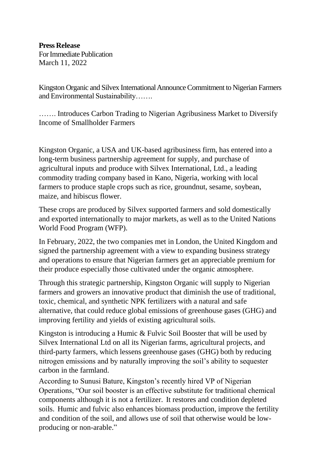**Press Release**

ForImmediate Publication March 11, 2022

Kingston Organic and Silvex International Announce Commitment to Nigerian Farmers and Environmental Sustainability…….

……. Introduces Carbon Trading to Nigerian Agribusiness Market to Diversify Income of Smallholder Farmers

Kingston Organic, a USA and UK-based agribusiness firm, has entered into a long-term business partnership agreement for supply, and purchase of agricultural inputs and produce with Silvex International, Ltd., a leading commodity trading company based in Kano, Nigeria, working with local farmers to produce staple crops such as rice, groundnut, sesame, soybean, maize, and hibiscus flower.

These crops are produced by Silvex supported farmers and sold domestically and exported internationally to major markets, as well as to the United Nations World Food Program (WFP).

In February, 2022, the two companies met in London, the United Kingdom and signed the partnership agreement with a view to expanding business strategy and operations to ensure that Nigerian farmers get an appreciable premium for their produce especially those cultivated under the organic atmosphere.

Through this strategic partnership, Kingston Organic will supply to Nigerian farmers and growers an innovative product that diminish the use of traditional, toxic, chemical, and synthetic NPK fertilizers with a natural and safe alternative, that could reduce global emissions of greenhouse gases (GHG) and improving fertility and yields of existing agricultural soils.

Kingston is introducing a Humic & Fulvic Soil Booster that will be used by Silvex International Ltd on all its Nigerian farms, agricultural projects, and third-party farmers, which lessens greenhouse gases (GHG) both by reducing nitrogen emissions and by naturally improving the soil's ability to sequester carbon in the farmland.

According to Sunusi Bature, Kingston's recently hired VP of Nigerian Operations, "Our soil booster is an effective substitute for traditional chemical components although it is not a fertilizer. It restores and condition depleted soils. Humic and fulvic also enhances biomass production, improve the fertility and condition of the soil, and allows use of soil that otherwise would be lowproducing or non-arable."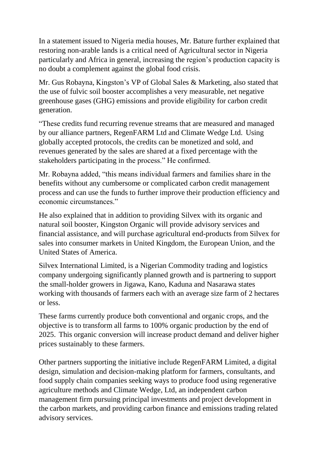In a statement issued to Nigeria media houses, Mr. Bature further explained that restoring non-arable lands is a critical need of Agricultural sector in Nigeria particularly and Africa in general, increasing the region's production capacity is no doubt a complement against the global food crisis.

Mr. Gus Robayna, Kingston's VP of Global Sales & Marketing, also stated that the use of fulvic soil booster accomplishes a very measurable, net negative greenhouse gases (GHG) emissions and provide eligibility for carbon credit generation.

"These credits fund recurring revenue streams that are measured and managed by our alliance partners, RegenFARM Ltd and Climate Wedge Ltd. Using globally accepted protocols, the credits can be monetized and sold, and revenues generated by the sales are shared at a fixed percentage with the stakeholders participating in the process." He confirmed.

Mr. Robayna added, "this means individual farmers and families share in the benefits without any cumbersome or complicated carbon credit management process and can use the funds to further improve their production efficiency and economic circumstances."

He also explained that in addition to providing Silvex with its organic and natural soil booster, Kingston Organic will provide advisory services and financial assistance, and will purchase agricultural end-products from Silvex for sales into consumer markets in United Kingdom, the European Union, and the United States of America.

Silvex International Limited, is a Nigerian Commodity trading and logistics company undergoing significantly planned growth and is partnering to support the small-holder growers in Jigawa, Kano, Kaduna and Nasarawa states working with thousands of farmers each with an average size farm of 2 hectares or less.

These farms currently produce both conventional and organic crops, and the objective is to transform all farms to 100% organic production by the end of 2025. This organic conversion will increase product demand and deliver higher prices sustainably to these farmers.

Other partners supporting the initiative include RegenFARM Limited, a digital design, simulation and decision-making platform for farmers, consultants, and food supply chain companies seeking ways to produce food using regenerative agriculture methods and Climate Wedge, Ltd, an independent carbon management firm pursuing principal investments and project development in the carbon markets, and providing carbon finance and emissions trading related advisory services.